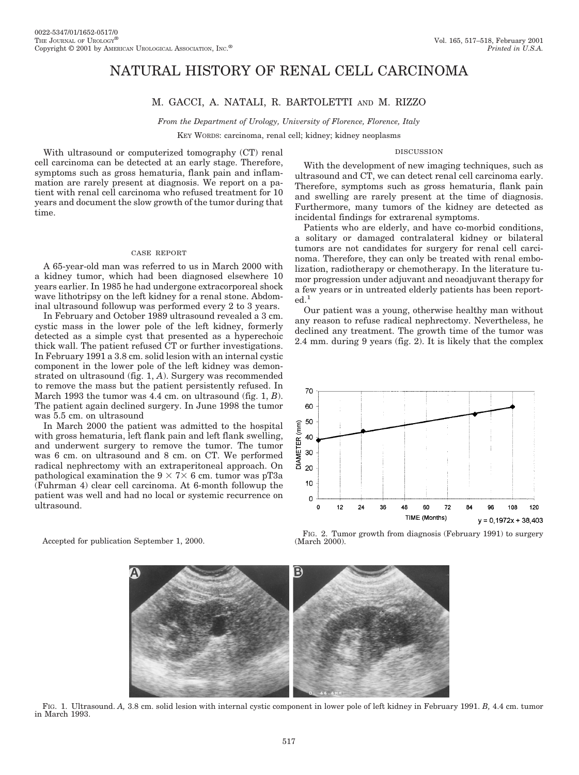# NATURAL HISTORY OF RENAL CELL CARCINOMA

## M. GACCI, A. NATALI, R. BARTOLETTI AND M. RIZZO

*From the Department of Urology, University of Florence, Florence, Italy*

KEY WORDS: carcinoma, renal cell; kidney; kidney neoplasms

#### DISCUSSION

With ultrasound or computerized tomography (CT) renal cell carcinoma can be detected at an early stage. Therefore, symptoms such as gross hematuria, flank pain and inflammation are rarely present at diagnosis. We report on a patient with renal cell carcinoma who refused treatment for 10 years and document the slow growth of the tumor during that time.

#### CASE REPORT

A 65-year-old man was referred to us in March 2000 with a kidney tumor, which had been diagnosed elsewhere 10 years earlier. In 1985 he had undergone extracorporeal shock wave lithotripsy on the left kidney for a renal stone. Abdominal ultrasound followup was performed every 2 to 3 years.

In February and October 1989 ultrasound revealed a 3 cm. cystic mass in the lower pole of the left kidney, formerly detected as a simple cyst that presented as a hyperechoic thick wall. The patient refused CT or further investigations. In February 1991 a 3.8 cm. solid lesion with an internal cystic component in the lower pole of the left kidney was demonstrated on ultrasound (fig. 1, *A*). Surgery was recommended to remove the mass but the patient persistently refused. In March 1993 the tumor was 4.4 cm. on ultrasound (fig. 1, *B*). The patient again declined surgery. In June 1998 the tumor was 5.5 cm. on ultrasound

In March 2000 the patient was admitted to the hospital with gross hematuria, left flank pain and left flank swelling, and underwent surgery to remove the tumor. The tumor was 6 cm. on ultrasound and 8 cm. on CT. We performed radical nephrectomy with an extraperitoneal approach. On pathological examination the  $9 \times 7 \times 6$  cm. tumor was pT3a (Fuhrman 4) clear cell carcinoma. At 6-month followup the patient was well and had no local or systemic recurrence on ultrasound.

Accepted for publication September 1, 2000.

 $\mathsf B$ 

FIG. 1. Ultrasound. *A,* 3.8 cm. solid lesion with internal cystic component in lower pole of left kidney in February 1991. *B,* 4.4 cm. tumor in March 1993.

With the development of new imaging techniques, such as ultrasound and CT, we can detect renal cell carcinoma early. Therefore, symptoms such as gross hematuria, flank pain and swelling are rarely present at the time of diagnosis. Furthermore, many tumors of the kidney are detected as incidental findings for extrarenal symptoms.

Patients who are elderly, and have co-morbid conditions, a solitary or damaged contralateral kidney or bilateral tumors are not candidates for surgery for renal cell carcinoma. Therefore, they can only be treated with renal embolization, radiotherapy or chemotherapy. In the literature tumor progression under adjuvant and neoadjuvant therapy for a few years or in untreated elderly patients has been reported.1

Our patient was a young, otherwise healthy man without any reason to refuse radical nephrectomy. Nevertheless, he declined any treatment. The growth time of the tumor was 2.4 mm. during 9 years (fig. 2). It is likely that the complex